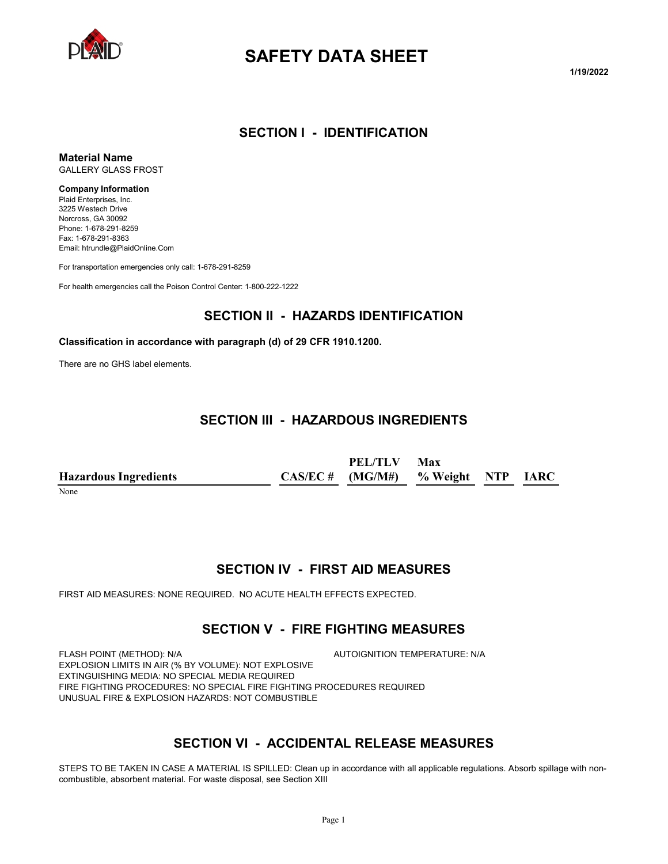

# **SAFETY DATA SHEET**

**1/19/2022**

### **SECTION I - IDENTIFICATION**

**Material Name** GALLERY GLASS FROST

#### **Company Information**

Plaid Enterprises, Inc. 3225 Westech Drive Norcross, GA 30092 Phone: 1-678-291-8259 Fax: 1-678-291-8363 Email: htrundle@PlaidOnline.Com

For transportation emergencies only call: 1-678-291-8259

For health emergencies call the Poison Control Center: 1-800-222-1222

### **SECTION II - HAZARDS IDENTIFICATION**

#### **Classification in accordance with paragraph (d) of 29 CFR 1910.1200.**

There are no GHS label elements.

## **SECTION III - HAZARDOUS INGREDIENTS**

**Hazardous Ingredients CAS/EC # PEL/TLV (MG/M#) Max % Weight NTP IARC**

None

### **SECTION IV - FIRST AID MEASURES**

FIRST AID MEASURES: NONE REQUIRED. NO ACUTE HEALTH EFFECTS EXPECTED.

### **SECTION V - FIRE FIGHTING MEASURES**

FLASH POINT (METHOD): N/A  $\overline{A}$  autoignition temperature: N/A EXPLOSION LIMITS IN AIR (% BY VOLUME): NOT EXPLOSIVE EXTINGUISHING MEDIA: NO SPECIAL MEDIA REQUIRED FIRE FIGHTING PROCEDURES: NO SPECIAL FIRE FIGHTING PROCEDURES REQUIRED UNUSUAL FIRE & EXPLOSION HAZARDS: NOT COMBUSTIBLE

## **SECTION VI - ACCIDENTAL RELEASE MEASURES**

STEPS TO BE TAKEN IN CASE A MATERIAL IS SPILLED: Clean up in accordance with all applicable regulations. Absorb spillage with noncombustible, absorbent material. For waste disposal, see Section XIII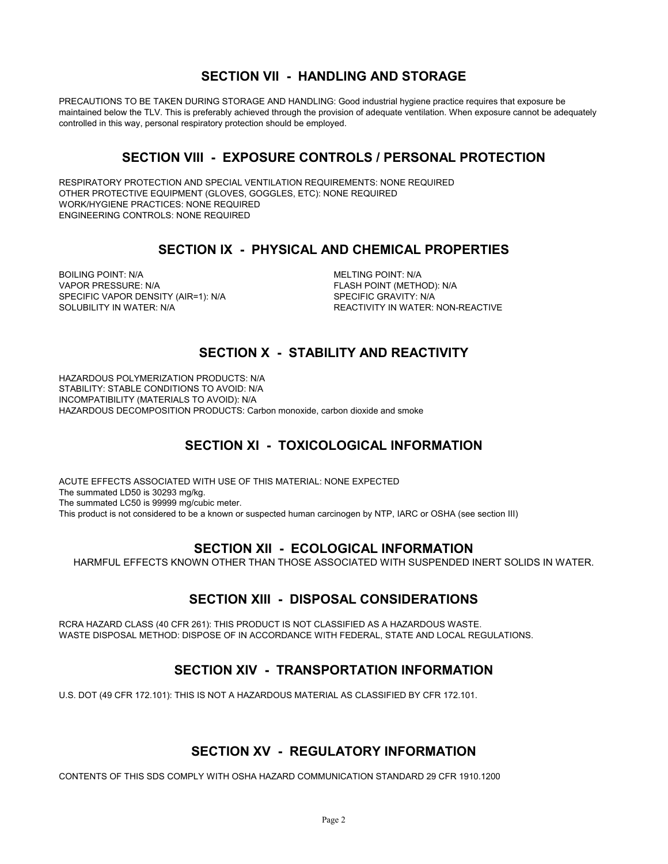## **SECTION VII - HANDLING AND STORAGE**

PRECAUTIONS TO BE TAKEN DURING STORAGE AND HANDLING: Good industrial hygiene practice requires that exposure be maintained below the TLV. This is preferably achieved through the provision of adequate ventilation. When exposure cannot be adequately controlled in this way, personal respiratory protection should be employed.

## **SECTION VIII - EXPOSURE CONTROLS / PERSONAL PROTECTION**

RESPIRATORY PROTECTION AND SPECIAL VENTILATION REQUIREMENTS: NONE REQUIRED OTHER PROTECTIVE EQUIPMENT (GLOVES, GOGGLES, ETC): NONE REQUIRED WORK/HYGIENE PRACTICES: NONE REQUIRED ENGINEERING CONTROLS: NONE REQUIRED

## **SECTION IX - PHYSICAL AND CHEMICAL PROPERTIES**

BOILING POINT: N/A **MELTING POINT: N/A** VAPOR PRESSURE: N/A FLASH POINT (METHOD): N/A SPECIFIC VAPOR DENSITY (AIR=1): N/A SPECIFIC GRAVITY: N/A SOLUBILITY IN WATER: N/A REACTIVITY IN WATER: NON-REACTIVE

## **SECTION X - STABILITY AND REACTIVITY**

HAZARDOUS POLYMERIZATION PRODUCTS: N/A STABILITY: STABLE CONDITIONS TO AVOID: N/A INCOMPATIBILITY (MATERIALS TO AVOID): N/A HAZARDOUS DECOMPOSITION PRODUCTS: Carbon monoxide, carbon dioxide and smoke

## **SECTION XI - TOXICOLOGICAL INFORMATION**

ACUTE EFFECTS ASSOCIATED WITH USE OF THIS MATERIAL: NONE EXPECTED The summated LD50 is 30293 mg/kg. The summated LC50 is 99999 mg/cubic meter. This product is not considered to be a known or suspected human carcinogen by NTP, IARC or OSHA (see section III)

## **SECTION XII - ECOLOGICAL INFORMATION**

HARMFUL EFFECTS KNOWN OTHER THAN THOSE ASSOCIATED WITH SUSPENDED INERT SOLIDS IN WATER.

## **SECTION XIII - DISPOSAL CONSIDERATIONS**

RCRA HAZARD CLASS (40 CFR 261): THIS PRODUCT IS NOT CLASSIFIED AS A HAZARDOUS WASTE. WASTE DISPOSAL METHOD: DISPOSE OF IN ACCORDANCE WITH FEDERAL, STATE AND LOCAL REGULATIONS.

## **SECTION XIV - TRANSPORTATION INFORMATION**

U.S. DOT (49 CFR 172.101): THIS IS NOT A HAZARDOUS MATERIAL AS CLASSIFIED BY CFR 172.101.

## **SECTION XV - REGULATORY INFORMATION**

CONTENTS OF THIS SDS COMPLY WITH OSHA HAZARD COMMUNICATION STANDARD 29 CFR 1910.1200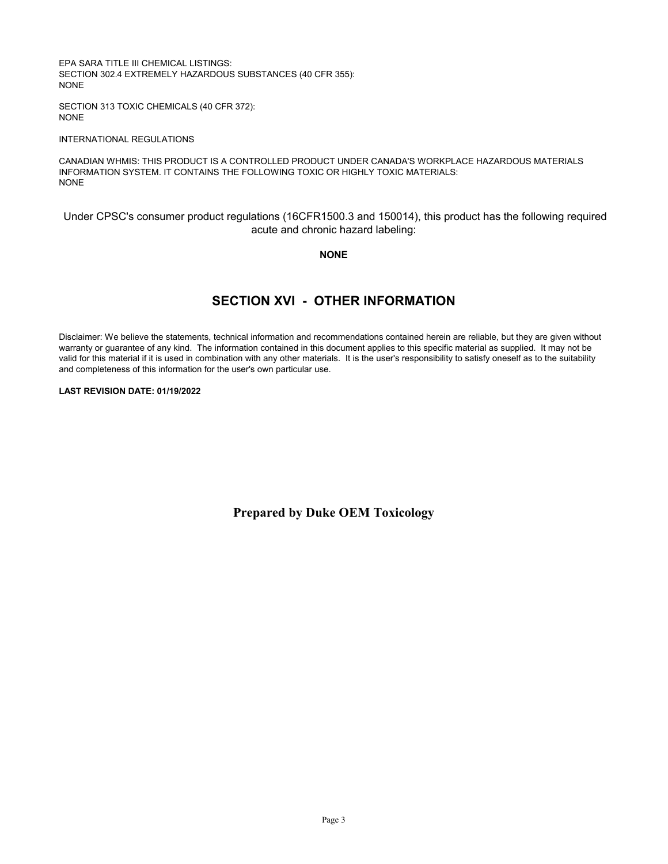EPA SARA TITLE III CHEMICAL LISTINGS: SECTION 302.4 EXTREMELY HAZARDOUS SUBSTANCES (40 CFR 355): NONE

SECTION 313 TOXIC CHEMICALS (40 CFR 372): NONE

#### INTERNATIONAL REGULATIONS

CANADIAN WHMIS: THIS PRODUCT IS A CONTROLLED PRODUCT UNDER CANADA'S WORKPLACE HAZARDOUS MATERIALS INFORMATION SYSTEM. IT CONTAINS THE FOLLOWING TOXIC OR HIGHLY TOXIC MATERIALS: NONE

Under CPSC's consumer product regulations (16CFR1500.3 and 150014), this product has the following required acute and chronic hazard labeling:

#### **NONE**

## **SECTION XVI - OTHER INFORMATION**

Disclaimer: We believe the statements, technical information and recommendations contained herein are reliable, but they are given without warranty or guarantee of any kind. The information contained in this document applies to this specific material as supplied. It may not be valid for this material if it is used in combination with any other materials. It is the user's responsibility to satisfy oneself as to the suitability and completeness of this information for the user's own particular use.

#### **LAST REVISION DATE: 01/19/2022**

**Prepared by Duke OEM Toxicology**